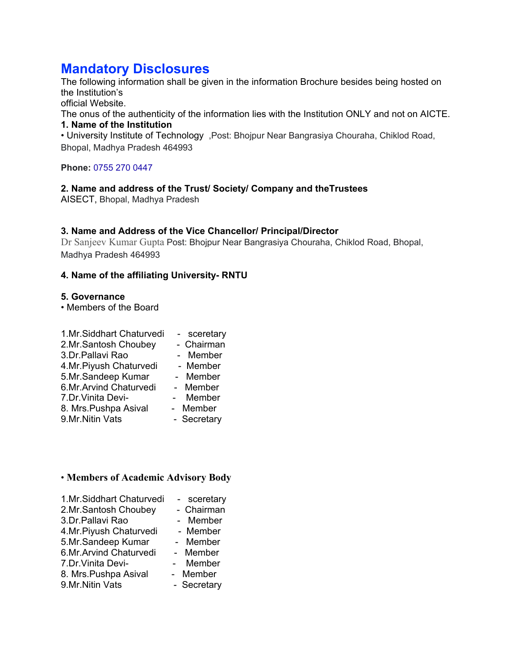# **Mandatory Disclosures**

The following information shall be given in the information Brochure besides being hosted on the Institution's

official Website.

The onus of the authenticity of the information lies with the Institution ONLY and not on AICTE. **1. Name of the Institution** 

• University Institute of Technology ,Post: Bhojpur Near Bangrasiya Chouraha, Chiklod Road, Bhopal, Madhya Pradesh 464993

**Phone:** 0755 270 0447

## **2. Name and address of the Trust/ Society/ Company and theTrustees**

AISECT, Bhopal, Madhya Pradesh

#### **3. Name and Address of the Vice Chancellor/ Principal/Director**

Dr Sanjeev Kumar Gupta Post: Bhojpur Near Bangrasiya Chouraha, Chiklod Road, Bhopal, Madhya Pradesh 464993

#### **4. Name of the affiliating University- RNTU**

#### **5. Governance**

• Members of the Board

| 1.Mr.Siddhart Chaturvedi | - sceretary |
|--------------------------|-------------|
| 2.Mr.Santosh Choubey     | - Chairman  |
| 3.Dr.Pallavi Rao         | - Member    |
| 4.Mr.Piyush Chaturvedi   | - Member    |
| 5.Mr.Sandeep Kumar       | - Member    |
| 6.Mr.Arvind Chaturvedi   | - Member    |
| 7.Dr. Vinita Devi-       | Member      |
| 8. Mrs. Pushpa Asival    | - Member    |
| 9.Mr.Nitin Vats          | - Secretary |

#### • **Members of Academic Advisory Body**

| - sceretary |
|-------------|
| - Chairman  |
| - Member    |
| - Member    |
| - Member    |
| - Member    |
| Member      |
| - Member    |
| - Secretary |
|             |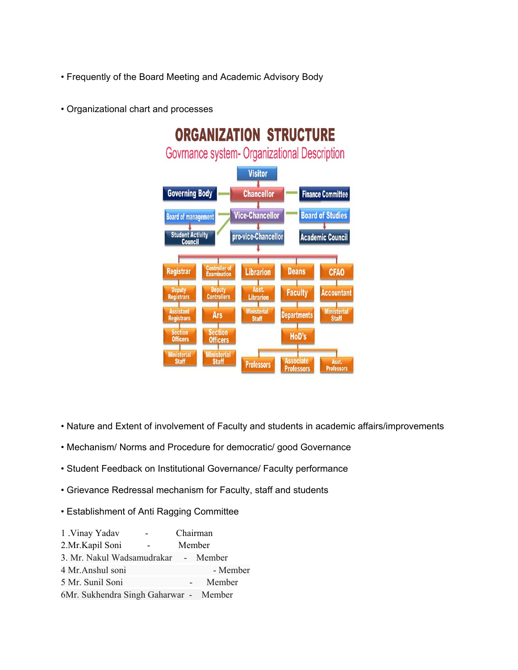- Frequently of the Board Meeting and Academic Advisory Body
- Organizational chart and processes



- Nature and Extent of involvement of Faculty and students in academic affairs/improvements
- Mechanism/ Norms and Procedure for democratic/ good Governance
- Student Feedback on Institutional Governance/ Faculty performance
- Grievance Redressal mechanism for Faculty, staff and students
- Establishment of Anti Ragging Committee

| 1 .Vinay Yadav                         | Chairman |          |
|----------------------------------------|----------|----------|
| 2.Mr.Kapil Soni                        | Member   |          |
| 3. Mr. Nakul Wadsamudrakar - Member    |          |          |
| 4 Mr. Anshul soni                      |          | - Member |
| 5 Mr. Sunil Soni                       |          | Member   |
| 6Mr. Sukhendra Singh Gaharwar - Member |          |          |
|                                        |          |          |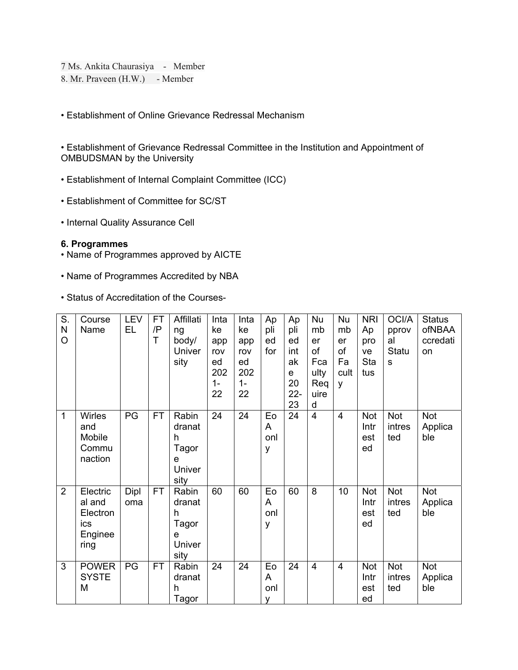7 Ms. Ankita Chaurasiya - Member

8. Mr. Praveen (H.W.) - Member

• Establishment of Online Grievance Redressal Mechanism

• Establishment of Grievance Redressal Committee in the Institution and Appointment of OMBUDSMAN by the University

- Establishment of Internal Complaint Committee (ICC)
- Establishment of Committee for SC/ST
- Internal Quality Assurance Cell

#### **6. Programmes**

- Name of Programmes approved by AICTE
- Name of Programmes Accredited by NBA
- Status of Accreditation of the Courses-

| S.<br>N<br>O   | Course<br>Name                                           | LEV<br>EL   | <b>FT</b><br>/P<br>T | Affillati<br>ng<br>body/<br>Univer<br>sity           | Inta<br>ke<br>app<br>rov<br>ed<br>202<br>$1 -$<br>22 | Inta<br>ke<br>app<br>rov<br>ed<br>202<br>$1 -$<br>22 | Ap<br>pli<br>ed<br>for | Ap<br>pli<br>ed<br>int<br>ak<br>e<br>20<br>$22 -$<br>23 | Nu<br>mb<br>er<br>of<br>Fca<br>ulty<br>Req<br>uire<br>d | Nu<br>mb<br>er<br>of<br>Fa<br>cult<br>y | <b>NRI</b><br>Ap<br>pro<br>ve<br>Sta<br>tus | OCI/A<br>pprov<br>al<br>Statu<br>S | <b>Status</b><br>ofNBAA<br>ccredati<br>on |
|----------------|----------------------------------------------------------|-------------|----------------------|------------------------------------------------------|------------------------------------------------------|------------------------------------------------------|------------------------|---------------------------------------------------------|---------------------------------------------------------|-----------------------------------------|---------------------------------------------|------------------------------------|-------------------------------------------|
| $\mathbf{1}$   | <b>Wirles</b><br>and<br>Mobile<br>Commu<br>naction       | PG          | <b>FT</b>            | Rabin<br>dranat<br>h<br>Tagor<br>e<br>Univer<br>sity | 24                                                   | 24                                                   | Eo<br>A<br>onl<br>у    | 24                                                      | $\overline{4}$                                          | $\overline{4}$                          | Not<br>Intr<br>est<br>ed                    | <b>Not</b><br>intres<br>ted        | <b>Not</b><br>Applica<br>ble              |
| $\overline{2}$ | Electric<br>al and<br>Electron<br>ics<br>Enginee<br>ring | Dipl<br>oma | <b>FT</b>            | Rabin<br>dranat<br>h<br>Tagor<br>e<br>Univer<br>sity | 60                                                   | 60                                                   | Eo<br>A<br>onl<br>У    | 60                                                      | 8                                                       | 10                                      | <b>Not</b><br>Intr<br>est<br>ed             | Not<br>intres<br>ted               | <b>Not</b><br>Applica<br>ble              |
| 3              | <b>POWER</b><br><b>SYSTE</b><br>M                        | PG          | <b>FT</b>            | Rabin<br>dranat<br>h<br>Tagor                        | 24                                                   | 24                                                   | Eo<br>A<br>onl<br>v    | 24                                                      | $\overline{4}$                                          | $\overline{4}$                          | <b>Not</b><br>Intr<br>est<br>ed             | <b>Not</b><br>intres<br>ted        | <b>Not</b><br>Applica<br>ble              |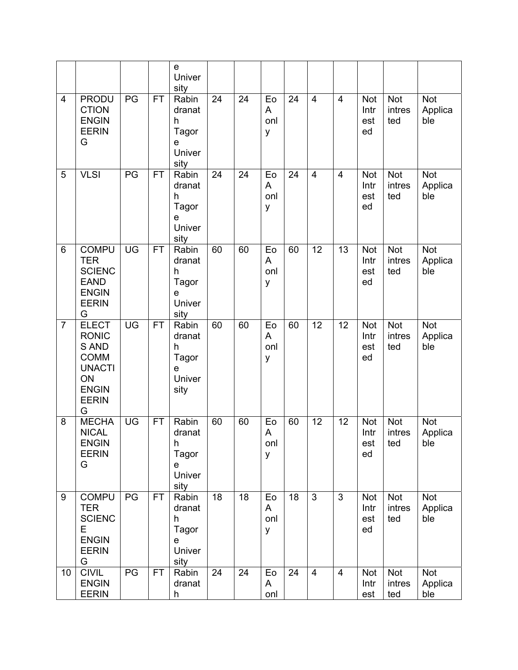|                |                                                                                                                  |                 |           | e<br>Univer<br>sity                                             |    |    |                     |    |                |                |                                 |                             |                              |
|----------------|------------------------------------------------------------------------------------------------------------------|-----------------|-----------|-----------------------------------------------------------------|----|----|---------------------|----|----------------|----------------|---------------------------------|-----------------------------|------------------------------|
| 4              | <b>PRODU</b><br><b>CTION</b><br><b>ENGIN</b><br><b>EERIN</b><br>G                                                | $\overline{PG}$ | <b>FT</b> | Rabin<br>dranat<br>h<br>Tagor<br>е<br>Univer<br>sity            | 24 | 24 | Eo<br>A<br>onl<br>У | 24 | $\overline{4}$ | $\overline{4}$ | <b>Not</b><br>Intr<br>est<br>ed | Not<br>intres<br>ted        | <b>Not</b><br>Applica<br>ble |
| 5              | <b>VLSI</b>                                                                                                      | $\overline{PG}$ | <b>FT</b> | Rabin<br>dranat<br>h<br>Tagor<br>e<br>Univer<br>sity            | 24 | 24 | Eo<br>A<br>onl<br>У | 24 | $\overline{4}$ | $\overline{4}$ | <b>Not</b><br>Intr<br>est<br>ed | Not<br>intres<br>ted        | <b>Not</b><br>Applica<br>ble |
| 6              | <b>COMPU</b><br><b>TER</b><br><b>SCIENC</b><br><b>EAND</b><br><b>ENGIN</b><br><b>EERIN</b><br>G                  | UG              | FT        | Rabin<br>dranat<br>h<br>Tagor<br>$\mathsf{e}$<br>Univer<br>sity | 60 | 60 | Eo<br>A<br>onl<br>У | 60 | 12             | 13             | Not<br>Intr<br>est<br>ed        | Not<br>intres<br>ted        | <b>Not</b><br>Applica<br>ble |
| $\overline{7}$ | <b>ELECT</b><br><b>RONIC</b><br>S AND<br><b>COMM</b><br><b>UNACTI</b><br>ON<br><b>ENGIN</b><br><b>EERIN</b><br>G | UG              | <b>FT</b> | Rabin<br>dranat<br>h<br>Tagor<br>e<br>Univer<br>sity            | 60 | 60 | Eo<br>A<br>onl<br>У | 60 | 12             | 12             | <b>Not</b><br>Intr<br>est<br>ed | <b>Not</b><br>intres<br>ted | <b>Not</b><br>Applica<br>ble |
| 8              | <b>MECHA</b><br><b>NICAL</b><br><b>ENGIN</b><br><b>EERIN</b><br>G                                                | UG              | <b>FT</b> | Rabin<br>dranat<br>h<br>Tagor<br>e<br>Univer<br>sity            | 60 | 60 | Eo<br>A<br>onl<br>y | 60 | 12             | 12             | <b>Not</b><br>Intr<br>est<br>ed | Not<br>intres<br>ted        | <b>Not</b><br>Applica<br>ble |
| 9              | <b>COMPU</b><br><b>TER</b><br><b>SCIENC</b><br>Е<br><b>ENGIN</b><br><b>EERIN</b><br>G                            | PG              | <b>FT</b> | Rabin<br>dranat<br>h<br>Tagor<br>e<br>Univer<br>sity            | 18 | 18 | Eo<br>A<br>onl<br>У | 18 | $\overline{3}$ | 3              | Not<br>Intr<br>est<br>ed        | Not<br>intres<br>ted        | <b>Not</b><br>Applica<br>ble |
| 10             | <b>CIVIL</b><br><b>ENGIN</b><br><b>EERIN</b>                                                                     | PG              | FT.       | Rabin<br>dranat<br>h                                            | 24 | 24 | Eo<br>A<br>onl      | 24 | $\overline{4}$ | $\overline{4}$ | Not<br>Intr<br>est              | Not<br>intres<br>ted        | <b>Not</b><br>Applica<br>ble |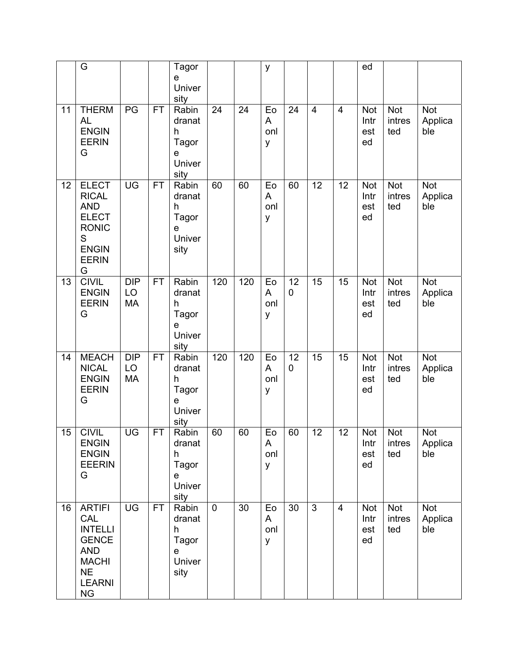|    | G                                                                                                                               |                               |           | Tagor<br>e<br>Univer<br>sity                          |             |     | y                   |         |                |                | ed                              |                             |                              |
|----|---------------------------------------------------------------------------------------------------------------------------------|-------------------------------|-----------|-------------------------------------------------------|-------------|-----|---------------------|---------|----------------|----------------|---------------------------------|-----------------------------|------------------------------|
| 11 | <b>THERM</b><br><b>AL</b><br><b>ENGIN</b><br><b>EERIN</b><br>G                                                                  | PG                            | <b>FT</b> | Rabin<br>dranat<br>h<br>Tagor<br>е<br>Univer<br>sity  | 24          | 24  | Eo<br>A<br>onl<br>У | 24      | $\overline{4}$ | $\overline{4}$ | <b>Not</b><br>Intr<br>est<br>ed | Not<br>intres<br>ted        | <b>Not</b><br>Applica<br>ble |
| 12 | <b>ELECT</b><br><b>RICAL</b><br><b>AND</b><br><b>ELECT</b><br><b>RONIC</b><br>S<br><b>ENGIN</b><br><b>EERIN</b><br>G            | UG                            | <b>FT</b> | Rabin<br>dranat<br>h<br>Tagor<br>e<br>Univer<br>sity  | 60          | 60  | Eo<br>A<br>onl<br>У | 60      | 12             | 12             | Not<br>Intr<br>est<br>ed        | Not<br>intres<br>ted        | <b>Not</b><br>Applica<br>ble |
| 13 | <b>CIVIL</b><br><b>ENGIN</b><br><b>EERIN</b><br>G                                                                               | <b>DIP</b><br>LO<br>MA        | <b>FT</b> | Rabin<br>dranat<br>h<br>Tagor<br>е<br>Univer<br>sity  | 120         | 120 | Eo<br>A<br>onl<br>У | 12<br>0 | 15             | 15             | <b>Not</b><br>Intr<br>est<br>ed | Not<br>intres<br>ted        | <b>Not</b><br>Applica<br>ble |
| 14 | <b>MEACH</b><br><b>NICAL</b><br><b>ENGIN</b><br><b>EERIN</b><br>G                                                               | <b>DIP</b><br>LO<br><b>MA</b> | <b>FT</b> | Rabin<br>dranat<br>h<br>Tagor<br>e<br>Univer<br>sity  | 120         | 120 | Eo<br>A<br>onl<br>У | 12<br>0 | 15             | 15             | <b>Not</b><br>Intr<br>est<br>ed | <b>Not</b><br>intres<br>ted | <b>Not</b><br>Applica<br>ble |
| 15 | <b>CIVIL</b><br><b>ENGIN</b><br><b>ENGIN</b><br><b>EEERIN</b><br>G                                                              | UG                            | FT        | Rabin<br>dranat<br>h<br>Tagor<br>e<br>Univer<br>sity  | 60          | 60  | Eo<br>Α<br>onl<br>y | 60      | 12             | 12             | Not<br>Intr<br>est<br>ed        | Not<br>intres<br>ted        | <b>Not</b><br>Applica<br>ble |
| 16 | <b>ARTIFI</b><br>CAL<br><b>INTELLI</b><br><b>GENCE</b><br><b>AND</b><br><b>MACHI</b><br><b>NE</b><br><b>LEARNI</b><br><b>NG</b> | UG                            | FT.       | Rabin<br>dranat<br>h.<br>Tagor<br>e<br>Univer<br>sity | $\mathbf 0$ | 30  | Eo<br>A<br>onl<br>y | 30      | 3              | $\overline{4}$ | <b>Not</b><br>Intr<br>est<br>ed | <b>Not</b><br>intres<br>ted | <b>Not</b><br>Applica<br>ble |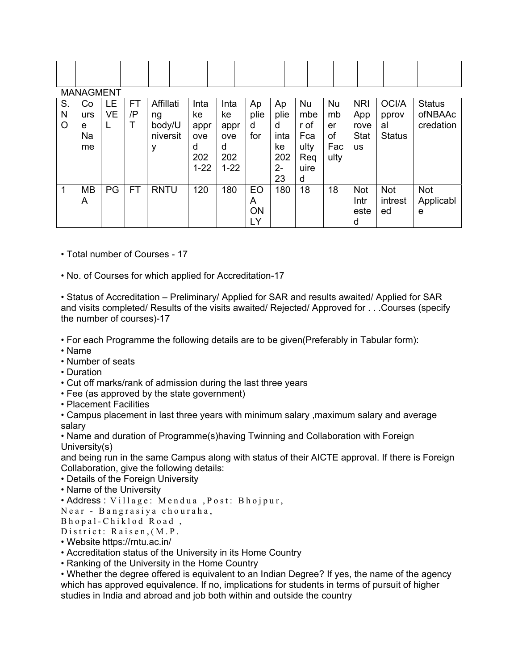|         | <b>MANAGMENT</b> |           |           |             |          |          |           |      |      |           |             |               |               |
|---------|------------------|-----------|-----------|-------------|----------|----------|-----------|------|------|-----------|-------------|---------------|---------------|
| S.      | Co               | LE.       | FT        | Affillati   | Inta     | Inta     | Ap        | Ap   | Nu   | <b>Nu</b> | <b>NRI</b>  | OCI/A         | <b>Status</b> |
| N       | urs              | <b>VE</b> | /P        | ng          | ke       | ke       | plie      | plie | mbe  | mb        | App         | pprov         | ofNBAAc       |
| $\circ$ | е                | L         |           | body/U      | appr     | appr     | d         | d    | r of | er        | rove        | al            | credation     |
|         | Na               |           |           | niversit    | ove      | ove      | for       | inta | Fca  | оf        | <b>Stat</b> | <b>Status</b> |               |
|         | me               |           |           | у           | d        | d        |           | ke   | ulty | Fac       | <b>us</b>   |               |               |
|         |                  |           |           |             | 202      | 202      |           | 202  | Req  | ulty      |             |               |               |
|         |                  |           |           |             | $1 - 22$ | $1 - 22$ |           | 2-   | uire |           |             |               |               |
|         |                  |           |           |             |          |          |           | 23   | d    |           |             |               |               |
| 1       | <b>MB</b>        | PG        | <b>FT</b> | <b>RNTU</b> | 120      | 180      | EO        | 180  | 18   | 18        | <b>Not</b>  | <b>Not</b>    | Not           |
|         | A                |           |           |             |          |          | A         |      |      |           | Intr        | intrest       | Applicabl     |
|         |                  |           |           |             |          |          | <b>ON</b> |      |      |           | este        | ed            | e             |
|         |                  |           |           |             |          |          | LY        |      |      |           | d           |               |               |

• Total number of Courses - 17

• No. of Courses for which applied for Accreditation-17

• Status of Accreditation – Preliminary/ Applied for SAR and results awaited/ Applied for SAR and visits completed/ Results of the visits awaited/ Rejected/ Approved for . . .Courses (specify the number of courses)-17

• For each Programme the following details are to be given(Preferably in Tabular form):

- Name
- Number of seats
- Duration
- Cut off marks/rank of admission during the last three years
- Fee (as approved by the state government)
- Placement Facilities

• Campus placement in last three years with minimum salary ,maximum salary and average salary

• Name and duration of Programme(s)having Twinning and Collaboration with Foreign University(s)

and being run in the same Campus along with status of their AICTE approval. If there is Foreign Collaboration, give the following details:

- Details of the Foreign University
- Name of the University

• Address : Village: Mendua ,Post: Bhojpur,

Near - Bangrasiya chouraha,

Bhopal-Chiklod Road ,

District: Raisen,(M.P.

• Website https://rntu.ac.in/

• Accreditation status of the University in its Home Country

• Ranking of the University in the Home Country

• Whether the degree offered is equivalent to an Indian Degree? If yes, the name of the agency which has approved equivalence. If no, implications for students in terms of pursuit of higher studies in India and abroad and job both within and outside the country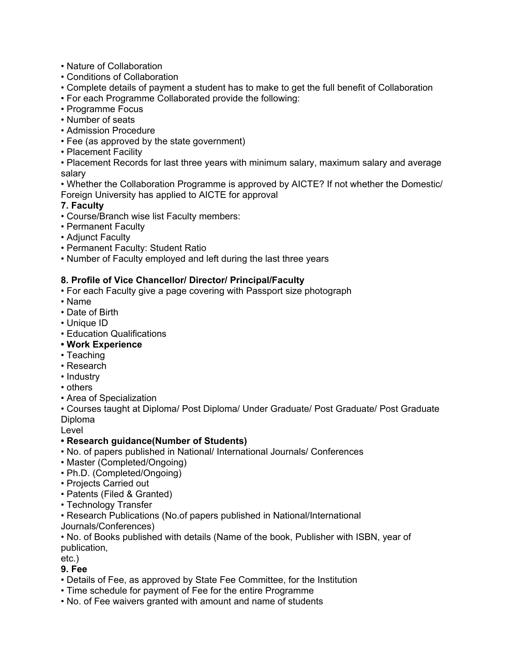- Nature of Collaboration
- Conditions of Collaboration
- Complete details of payment a student has to make to get the full benefit of Collaboration
- For each Programme Collaborated provide the following:
- Programme Focus
- Number of seats
- Admission Procedure
- Fee (as approved by the state government)
- Placement Facility

• Placement Records for last three years with minimum salary, maximum salary and average salary

• Whether the Collaboration Programme is approved by AICTE? If not whether the Domestic/ Foreign University has applied to AICTE for approval

## **7. Faculty**

- Course/Branch wise list Faculty members:
- Permanent Faculty
- Adjunct Faculty
- Permanent Faculty: Student Ratio
- Number of Faculty employed and left during the last three years

# **8. Profile of Vice Chancellor/ Director/ Principal/Faculty**

- For each Faculty give a page covering with Passport size photograph
- Name
- Date of Birth
- Unique ID
- Education Qualifications
- **Work Experience**
- Teaching
- Research
- Industry
- others
- Area of Specialization

• Courses taught at Diploma/ Post Diploma/ Under Graduate/ Post Graduate/ Post Graduate Diploma

Level

#### **• Research guidance(Number of Students)**

- No. of papers published in National/ International Journals/ Conferences
- Master (Completed/Ongoing)
- Ph.D. (Completed/Ongoing)
- Projects Carried out
- Patents (Filed & Granted)
- Technology Transfer

• Research Publications (No.of papers published in National/International

Journals/Conferences)

• No. of Books published with details (Name of the book, Publisher with ISBN, year of publication,

etc.)

# **9. Fee**

- Details of Fee, as approved by State Fee Committee, for the Institution
- Time schedule for payment of Fee for the entire Programme
- No. of Fee waivers granted with amount and name of students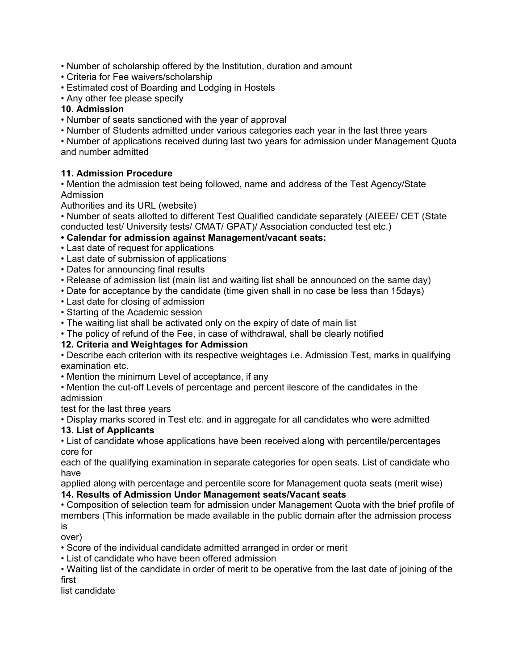• Number of scholarship offered by the Institution, duration and amount

- Criteria for Fee waivers/scholarship
- Estimated cost of Boarding and Lodging in Hostels
- Any other fee please specify

# **10. Admission**

• Number of seats sanctioned with the year of approval

• Number of Students admitted under various categories each year in the last three years

• Number of applications received during last two years for admission under Management Quota and number admitted

# **11. Admission Procedure**

• Mention the admission test being followed, name and address of the Test Agency/State Admission

Authorities and its URL (website)

• Number of seats allotted to different Test Qualified candidate separately (AIEEE/ CET (State conducted test/ University tests/ CMAT/ GPAT)/ Association conducted test etc.)

- **Calendar for admission against Management/vacant seats:**
- Last date of request for applications
- Last date of submission of applications
- Dates for announcing final results
- Release of admission list (main list and waiting list shall be announced on the same day)
- Date for acceptance by the candidate (time given shall in no case be less than 15days)
- Last date for closing of admission
- Starting of the Academic session
- The waiting list shall be activated only on the expiry of date of main list
- The policy of refund of the Fee, in case of withdrawal, shall be clearly notified

# **12. Criteria and Weightages for Admission**

• Describe each criterion with its respective weightages i.e. Admission Test, marks in qualifying examination etc.

- Mention the minimum Level of acceptance, if any
- Mention the cut-off Levels of percentage and percent ilescore of the candidates in the admission

test for the last three years

• Display marks scored in Test etc. and in aggregate for all candidates who were admitted

# **13. List of Applicants**

• List of candidate whose applications have been received along with percentile/percentages core for

each of the qualifying examination in separate categories for open seats. List of candidate who have

applied along with percentage and percentile score for Management quota seats (merit wise)

# **14. Results of Admission Under Management seats/Vacant seats**

• Composition of selection team for admission under Management Quota with the brief profile of members (This information be made available in the public domain after the admission process is

over)

• Score of the individual candidate admitted arranged in order or merit

- List of candidate who have been offered admission
- Waiting list of the candidate in order of merit to be operative from the last date of joining of the first

list candidate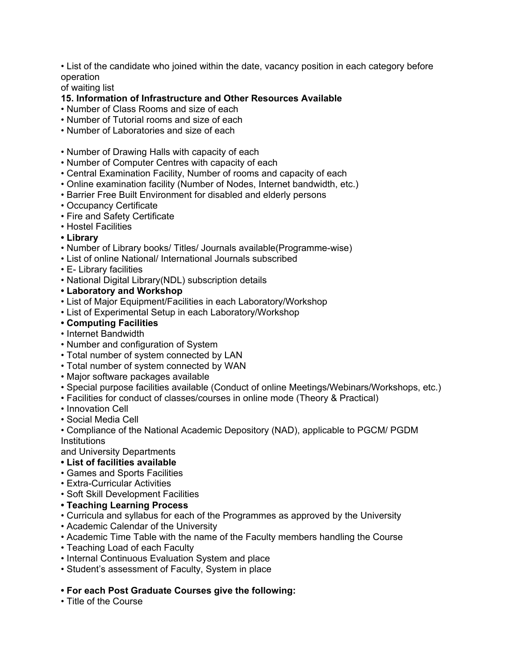• List of the candidate who joined within the date, vacancy position in each category before operation

of waiting list

## **15. Information of Infrastructure and Other Resources Available**

- Number of Class Rooms and size of each
- Number of Tutorial rooms and size of each
- Number of Laboratories and size of each
- Number of Drawing Halls with capacity of each
- Number of Computer Centres with capacity of each
- Central Examination Facility, Number of rooms and capacity of each
- Online examination facility (Number of Nodes, Internet bandwidth, etc.)
- Barrier Free Built Environment for disabled and elderly persons
- Occupancy Certificate
- Fire and Safety Certificate
- Hostel Facilities
- **Library**
- Number of Library books/ Titles/ Journals available(Programme-wise)
- List of online National/ International Journals subscribed
- E- Library facilities
- National Digital Library(NDL) subscription details
- **Laboratory and Workshop**
- List of Major Equipment/Facilities in each Laboratory/Workshop
- List of Experimental Setup in each Laboratory/Workshop
- **Computing Facilities**
- Internet Bandwidth
- Number and configuration of System
- Total number of system connected by LAN
- Total number of system connected by WAN
- Major software packages available
- Special purpose facilities available (Conduct of online Meetings/Webinars/Workshops, etc.)
- Facilities for conduct of classes/courses in online mode (Theory & Practical)
- Innovation Cell
- Social Media Cell

• Compliance of the National Academic Depository (NAD), applicable to PGCM/ PGDM **Institutions** 

and University Departments

- **List of facilities available**
- Games and Sports Facilities
- Extra-Curricular Activities
- Soft Skill Development Facilities
- **Teaching Learning Process**
- Curricula and syllabus for each of the Programmes as approved by the University
- Academic Calendar of the University
- Academic Time Table with the name of the Faculty members handling the Course
- Teaching Load of each Faculty
- Internal Continuous Evaluation System and place
- Student's assessment of Faculty, System in place

#### **• For each Post Graduate Courses give the following:**

• Title of the Course